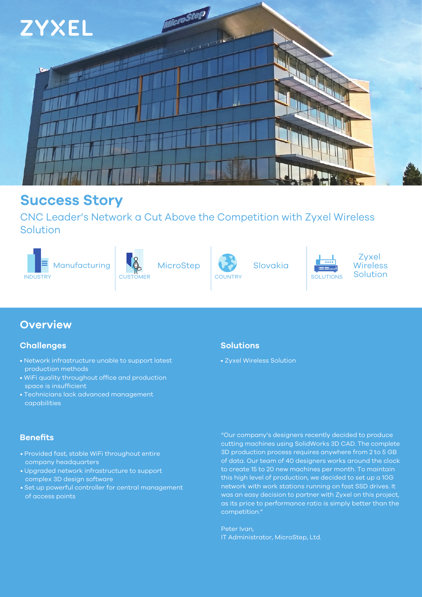

## **Success Story**

CNC Leader's Network a Cut Above the Competition with Zyxel Wireless Solution



## **Overview**

## **Challenges**

- Network infrastructure unable to support latest production methods
- WiFi quality throughout office and production space is insufficient
- Technicians lack advanced management capabilities

## **Benefits**

- Provided fast, stable WiFi throughout entire company headquarters
- Upgraded network infrastructure to support complex 3D design software
- Set up powerful controller for central management of access points

## **Solutions**

• Zyxel Wireless Solution



"Our company's designers recently decided to produce cutting machines using SolidWorks 3D CAD. The complete 3D production process requires anywhere from 2 to 5 GB of data. Our team of 40 designers works around the clock to create 15 to 20 new machines per month. To maintain this high level of production, we decided to set up a 10G network with work stations running on fast SSD drives. It was an easy decision to partner with Zyxel on this project, as its price to performance ratio is simply better than the competition."

Peter Ivan, IT Administrator, MicroStep, Ltd.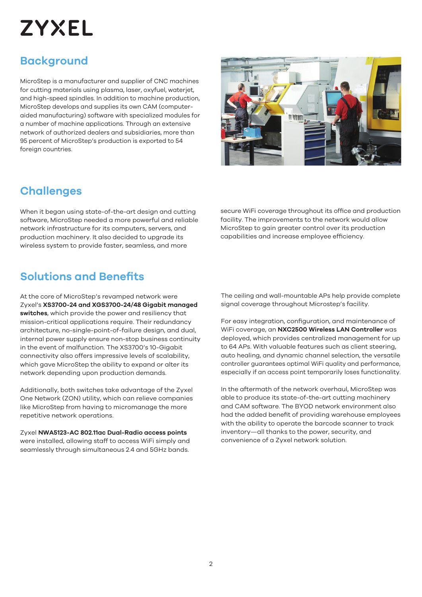# **ZYXEL**

## **Background**

MicroStep is a manufacturer and supplier of CNC machines for cutting materials using plasma, laser, oxyfuel, waterjet, and high-speed spindles. In addition to machine production, MicroStep develops and supplies its own CAM (computeraided manufacturing) software with specialized modules for a number of machine applications. Through an extensive network of authorized dealers and subsidiaries, more than 95 percent of MicroStep's production is exported to 54 foreign countries.



When it began using state-of-the-art design and cutting software, MicroStep needed a more powerful and reliable network infrastructure for its computers, servers, and production machinery. It also decided to upgrade its wireless system to provide faster, seamless, and more

## **Solutions and Benefits**

At the core of MicroStep's revamped network were Zyxel's **XS3700-24 and XGS3700-24/48 Gigabit managed switches**, which provide the power and resiliency that mission-critical applications require. Their redundancy architecture, no-single-point-of-failure design, and dual, internal power supply ensure non-stop business continuity in the event of malfunction. The XS3700's 10-Gigabit connectivity also offers impressive levels of scalability, which gave MicroStep the ability to expand or alter its network depending upon production demands.

Additionally, both switches take advantage of the Zyxel One Network (ZON) utility, which can relieve companies like MicroStep from having to micromanage the more repetitive network operations.

Zyxel **NWA5123-AC 802.11ac Dual-Radio access points** were installed, allowing staff to access WiFi simply and seamlessly through simultaneous 2.4 and 5GHz bands.

**11 99 80** 

secure WiFi coverage throughout its office and production facility. The improvements to the network would allow MicroStep to gain greater control over its production capabilities and increase employee efficiency.

The ceiling and wall-mountable APs help provide complete signal coverage throughout Microstep's facility.

For easy integration, configuration, and maintenance of WiFi coverage, an **NXC2500 Wireless LAN Controller** was deployed, which provides centralized management for up to 64 APs. With valuable features such as client steering, auto healing, and dynamic channel selection, the versatile controller guarantees optimal WiFi quality and performance, especially if an access point temporarily loses functionality.

In the aftermath of the network overhaul, MicroStep was able to produce its state-of-the-art cutting machinery and CAM software. The BYOD network environment also had the added benefit of providing warehouse employees with the ability to operate the barcode scanner to track inventory—all thanks to the power, security, and convenience of a Zyxel network solution.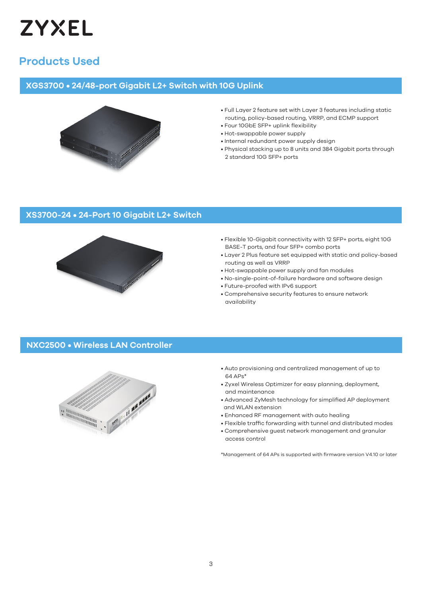

## **Products Used**

#### **XGS3700 • 24/48-port Gigabit L2+ Switch with 10G Uplink**



- Full Layer 2 feature set with Layer 3 features including static routing, policy-based routing, VRRP, and ECMP support
- Four 10GbE SFP+ uplink flexibility
- Hot-swappable power supply
- Internal redundant power supply design
- Physical stacking up to 8 units and 384 Gigabit ports through 2 standard 10G SFP+ ports

## **XS3700-24 • 24-Port 10 Gigabit L2+ Switch**



- Flexible 10-Gigabit connectivity with 12 SFP+ ports, eight 10G BASE-T ports, and four SFP+ combo ports
- Layer 2 Plus feature set equipped with static and policy-based routing as well as VRRP
- Hot-swappable power supply and fan modules
- No-single-point-of-failure hardware and software design
- Future-proofed with IPv6 support
- Comprehensive security features to ensure network availability

#### **NXC2500 • Wireless LAN Controller**



- Auto provisioning and centralized management of up to 64 APs\*
- Zyxel Wireless Optimizer for easy planning, deployment, and maintenance
- Advanced ZyMesh technology for simplified AP deployment and WLAN extension
- Enhanced RF management with auto healing
- Flexible traffic forwarding with tunnel and distributed modes
- Comprehensive guest network management and granular access control

\*Management of 64 APs is supported with firmware version V4.10 or later